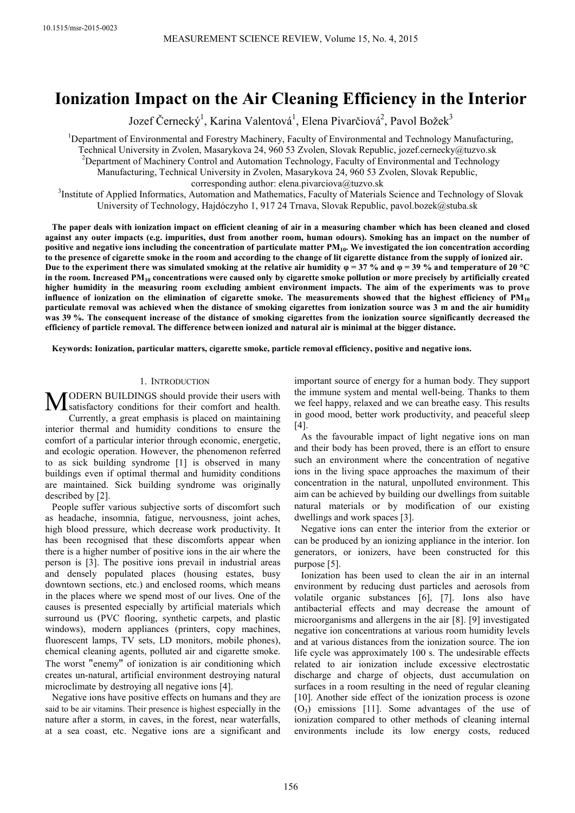# **Ionization Impact on the Air Cleaning Efficiency in the Interior**

Jozef Černecký<sup>1</sup>, Karina Valentová<sup>1</sup>, Elena Pivarčiová<sup>2</sup>, Pavol Božek<sup>3</sup>

<sup>1</sup>Department of Environmental and Forestry Machinery, Faculty of Environmental and Technology Manufacturing, Technical University in Zvolen, Masarykova 24, 960 53 Zvolen, Slovak Republic, jozef.cernecky@tuzvo.sk <sup>2</sup>Department of Machinery Control and Automation Technology, Faculty of Environmental and Technology Manufacturing, Technical University in Zvolen, Masarykova 24, 960 53 Zvolen, Slovak Republic, corresponding author: elena.pivarciova@tuzvo.sk

<sup>3</sup>Institute of Applied Informatics, Automation and Mathematics, Faculty of Materials Science and Technology of Slovak University of Technology, Hajdóczyho 1, 917 24 Trnava, Slovak Republic, pavol.bozek@stuba.sk

**The paper deals with ionization impact on efficient cleaning of air in a measuring chamber which has been cleaned and closed against any outer impacts (e.g. impurities, dust from another room, human odours). Smoking has an impact on the number of positive and negative ions including the concentration of particulate matter PM10. We investigated the ion concentration according to the presence of cigarette smoke in the room and according to the change of lit cigarette distance from the supply of ionized air.**  Due to the experiment there was simulated smoking at the relative air humidity  $\varphi = 37$  % and  $\varphi = 39$  % and temperature of 20 °C **in the room. Increased PM10 concentrations were caused only by cigarette smoke pollution or more precisely by artificially created higher humidity in the measuring room excluding ambient environment impacts. The aim of the experiments was to prove influence of ionization on the elimination of cigarette smoke. The measurements showed that the highest efficiency of PM<sup>10</sup> particulate removal was achieved when the distance of smoking cigarettes from ionization source was 3 m and the air humidity was 39 %. The consequent increase of the distance of smoking cigarettes from the ionization source significantly decreased the efficiency of particle removal. The difference between ionized and natural air is minimal at the bigger distance.** 

**Keywords: Ionization, particular matters, cigarette smoke, particle removal efficiency, positive and negative ions.** 

#### 1. INTRODUCTION

ODERN BUILDINGS should provide their users with **MODERN BUILDINGS** should provide their users with satisfactory conditions for their comfort and health. Currently, a great emphasis is placed on maintaining interior thermal and humidity conditions to ensure the comfort of a particular interior through economic, energetic, and ecologic operation. However, the phenomenon referred to as sick building syndrome [1] is observed in many buildings even if optimal thermal and humidity conditions are maintained. Sick building syndrome was originally described by [2].

People suffer various subjective sorts of discomfort such as headache, insomnia, fatigue, nervousness, joint aches, high blood pressure, which decrease work productivity. It has been recognised that these discomforts appear when there is a higher number of positive ions in the air where the person is [3]. The positive ions prevail in industrial areas and densely populated places (housing estates, busy downtown sections, etc.) and enclosed rooms, which means in the places where we spend most of our lives. One of the causes is presented especially by artificial materials which surround us (PVC flooring, synthetic carpets, and plastic windows), modern appliances (printers, copy machines, fluorescent lamps, TV sets, LD monitors, mobile phones), chemical cleaning agents, polluted air and cigarette smoke. The worst "enemy" of ionization is air conditioning which creates un-natural, artificial environment destroying natural microclimate by destroying all negative ions [4].

Negative ions have positive effects on humans and they are said to be air vitamins. Their presence is highest especially in the nature after a storm, in caves, in the forest, near waterfalls, at a sea coast, etc. Negative ions are a significant and

important source of energy for a human body. They support the immune system and mental well-being. Thanks to them we feel happy, relaxed and we can breathe easy. This results in good mood, better work productivity, and peaceful sleep [4].

As the favourable impact of light negative ions on man and their body has been proved, there is an effort to ensure such an environment where the concentration of negative ions in the living space approaches the maximum of their concentration in the natural, unpolluted environment. This aim can be achieved by building our dwellings from suitable natural materials or by modification of our existing dwellings and work spaces [3].

Negative ions can enter the interior from the exterior or can be produced by an ionizing appliance in the interior. Ion generators, or ionizers, have been constructed for this purpose [5].

Ionization has been used to clean the air in an internal environment by reducing dust particles and aerosols from volatile organic substances [6], [7]. Ions also have antibacterial effects and may decrease the amount of microorganisms and allergens in the air [8]. [9] investigated negative ion concentrations at various room humidity levels and at various distances from the ionization source. The ion life cycle was approximately 100 s. The undesirable effects related to air ionization include excessive electrostatic discharge and charge of objects, dust accumulation on surfaces in a room resulting in the need of regular cleaning [10]. Another side effect of the ionization process is ozone  $(O_3)$  emissions [11]. Some advantages of the use of ionization compared to other methods of cleaning internal environments include its low energy costs, reduced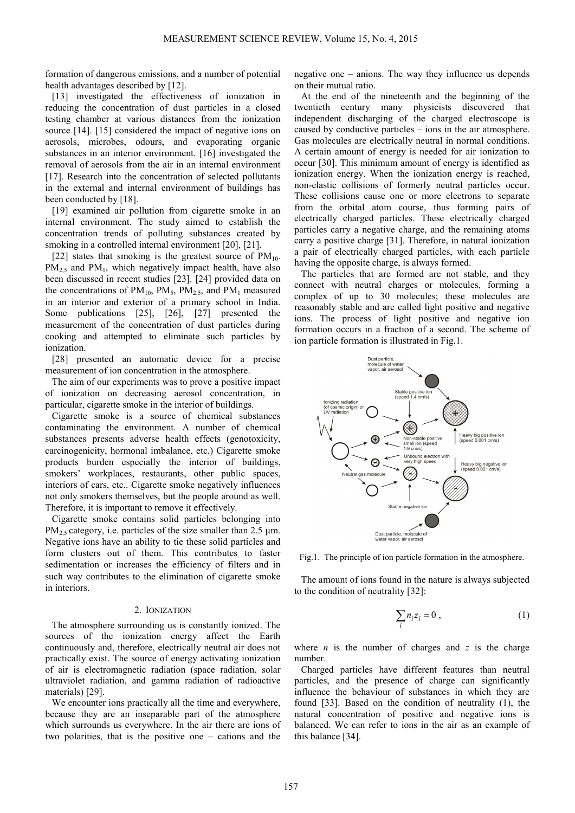formation of dangerous emissions, and a number of potential health advantages described by [12].

[13] investigated the effectiveness of ionization in reducing the concentration of dust particles in a closed testing chamber at various distances from the ionization source [14]. [15] considered the impact of negative ions on aerosols, microbes, odours, and evaporating organic substances in an interior environment. [16] investigated the removal of aerosols from the air in an internal environment [17]. Research into the concentration of selected pollutants in the external and internal environment of buildings has been conducted by [18].

[19] examined air pollution from cigarette smoke in an internal environment. The study aimed to establish the concentration trends of polluting substances created by smoking in a controlled internal environment [20], [21].

[22] states that smoking is the greatest source of  $PM_{10}$ .  $PM_{2.5}$  and  $PM_{1}$ , which negatively impact health, have also been discussed in recent studies [23]. [24] provided data on the concentrations of  $PM_{10}$ ,  $PM_{5}$ ,  $PM_{2.5}$ , and  $PM_{1}$  measured in an interior and exterior of a primary school in India. Some publications [25], [26], [27] presented the measurement of the concentration of dust particles during cooking and attempted to eliminate such particles by ionization.

[28] presented an automatic device for a precise measurement of ion concentration in the atmosphere.

The aim of our experiments was to prove a positive impact of ionization on decreasing aerosol concentration, in particular, cigarette smoke in the interior of buildings.

Cigarette smoke is a source of chemical substances contaminating the environment. A number of chemical substances presents adverse health effects (genotoxicity, carcinogenicity, hormonal imbalance, etc.) Cigarette smoke products burden especially the interior of buildings, smokers' workplaces, restaurants, other public spaces, interiors of cars, etc.. Cigarette smoke negatively influences not only smokers themselves, but the people around as well. Therefore, it is important to remove it effectively.

Cigarette smoke contains solid particles belonging into  $PM_{2.5}$  category, i.e. particles of the size smaller than 2.5  $\mu$ m. Negative ions have an ability to tie these solid particles and form clusters out of them. This contributes to faster sedimentation or increases the efficiency of filters and in such way contributes to the elimination of cigarette smoke in interiors.

#### 2. IONIZATION

The atmosphere surrounding us is constantly ionized. The sources of the ionization energy affect the Earth continuously and, therefore, electrically neutral air does not practically exist. The source of energy activating ionization of air is electromagnetic radiation (space radiation, solar ultraviolet radiation, and gamma radiation of radioactive materials) [29].

We encounter ions practically all the time and everywhere, because they are an inseparable part of the atmosphere which surrounds us everywhere. In the air there are ions of two polarities, that is the positive one – cations and the

negative one – anions. The way they influence us depends on their mutual ratio.

At the end of the nineteenth and the beginning of the twentieth century many physicists discovered that independent discharging of the charged electroscope is caused by conductive particles – ions in the air atmosphere. Gas molecules are electrically neutral in normal conditions. A certain amount of energy is needed for air ionization to occur [30]. This minimum amount of energy is identified as ionization energy. When the ionization energy is reached, non-elastic collisions of formerly neutral particles occur. These collisions cause one or more electrons to separate from the orbital atom course, thus forming pairs of electrically charged particles. These electrically charged particles carry a negative charge, and the remaining atoms carry a positive charge [31]. Therefore, in natural ionization a pair of electrically charged particles, with each particle having the opposite charge, is always formed.

The particles that are formed are not stable, and they connect with neutral charges or molecules, forming a complex of up to 30 molecules; these molecules are reasonably stable and are called light positive and negative ions. The process of light positive and negative ion formation occurs in a fraction of a second. The scheme of ion particle formation is illustrated in Fig.1.



Fig.1. The principle of ion particle formation in the atmosphere.

The amount of ions found in the nature is always subjected to the condition of neutrality [32]:

$$
\sum_{i} n_{i} z_{i} = 0 , \qquad (1)
$$

where  $n$  is the number of charges and  $z$  is the charge number.

Charged particles have different features than neutral particles, and the presence of charge can significantly influence the behaviour of substances in which they are found [33]. Based on the condition of neutrality (1), the natural concentration of positive and negative ions is balanced. We can refer to ions in the air as an example of this balance [34].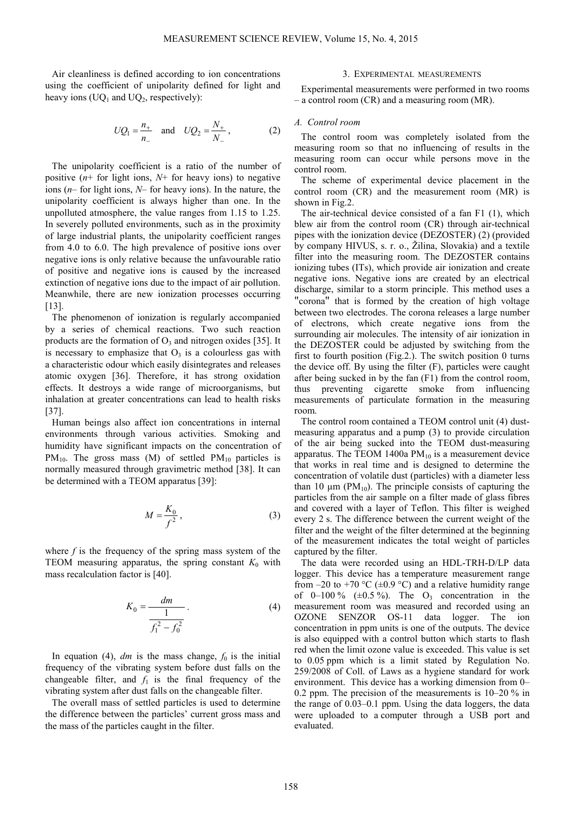Air cleanliness is defined according to ion concentrations using the coefficient of unipolarity defined for light and heavy ions ( $UQ_1$  and  $UQ_2$ , respectively):

$$
UQ_1 = \frac{n_+}{n_-}
$$
 and  $UQ_2 = \frac{N_+}{N_-}$ , (2)

The unipolarity coefficient is a ratio of the number of positive  $(n+$  for light ions,  $N+$  for heavy ions) to negative ions (*n*– for light ions, *N*– for heavy ions). In the nature, the unipolarity coefficient is always higher than one. In the unpolluted atmosphere, the value ranges from 1.15 to 1.25. In severely polluted environments, such as in the proximity of large industrial plants, the unipolarity coefficient ranges from 4.0 to 6.0. The high prevalence of positive ions over negative ions is only relative because the unfavourable ratio of positive and negative ions is caused by the increased extinction of negative ions due to the impact of air pollution. Meanwhile, there are new ionization processes occurring [13].

The phenomenon of ionization is regularly accompanied by a series of chemical reactions. Two such reaction products are the formation of  $O_3$  and nitrogen oxides [35]. It is necessary to emphasize that  $O<sub>3</sub>$  is a colourless gas with a characteristic odour which easily disintegrates and releases atomic oxygen [36]. Therefore, it has strong oxidation effects. It destroys a wide range of microorganisms, but inhalation at greater concentrations can lead to health risks [37].

Human beings also affect ion concentrations in internal environments through various activities. Smoking and humidity have significant impacts on the concentration of  $PM_{10}$ . The gross mass (M) of settled  $PM_{10}$  particles is normally measured through gravimetric method [38]. It can be determined with a TEOM apparatus [39]:

$$
M = \frac{K_0}{f^2},\tag{3}
$$

where  $f$  is the frequency of the spring mass system of the TEOM measuring apparatus, the spring constant  $K_0$  with mass recalculation factor is [40].

$$
K_0 = \frac{dm}{\frac{1}{f_1^2 - f_0^2}}.
$$
 (4)

In equation (4),  $dm$  is the mass change,  $f_0$  is the initial frequency of the vibrating system before dust falls on the changeable filter, and  $f_1$  is the final frequency of the vibrating system after dust falls on the changeable filter.

The overall mass of settled particles is used to determine the difference between the particles' current gross mass and the mass of the particles caught in the filter.

#### 3. EXPERIMENTAL MEASUREMENTS

Experimental measurements were performed in two rooms – a control room (CR) and a measuring room (MR).

### *A. Control room*

The control room was completely isolated from the measuring room so that no influencing of results in the measuring room can occur while persons move in the control room.

The scheme of experimental device placement in the control room (CR) and the measurement room (MR) is shown in Fig.2.

The air-technical device consisted of a fan F1 (1), which blew air from the control room (CR) through air-technical pipes with the ionization device (DEZOSTER) (2) (provided by company HIVUS, s. r. o., Žilina, Slovakia) and a textile filter into the measuring room. The DEZOSTER contains ionizing tubes (ITs), which provide air ionization and create negative ions. Negative ions are created by an electrical discharge, similar to a storm principle. This method uses a "corona" that is formed by the creation of high voltage between two electrodes. The corona releases a large number of electrons, which create negative ions from the surrounding air molecules. The intensity of air ionization in the DEZOSTER could be adjusted by switching from the first to fourth position (Fig.2.). The switch position 0 turns the device off. By using the filter (F), particles were caught after being sucked in by the fan (F1) from the control room, thus preventing cigarette smoke from influencing measurements of particulate formation in the measuring room.

The control room contained a TEOM control unit (4) dustmeasuring apparatus and a pump (3) to provide circulation of the air being sucked into the TEOM dust-measuring apparatus. The TEOM 1400a  $PM_{10}$  is a measurement device that works in real time and is designed to determine the concentration of volatile dust (particles) with a diameter less than 10 μm ( $PM_{10}$ ). The principle consists of capturing the particles from the air sample on a filter made of glass fibres and covered with a layer of Teflon. This filter is weighed every 2 s. The difference between the current weight of the filter and the weight of the filter determined at the beginning of the measurement indicates the total weight of particles captured by the filter.

The data were recorded using an HDL-TRH-D/LP data logger. This device has a temperature measurement range from  $-20$  to  $+70$  °C ( $\pm 0.9$  °C) and a relative humidity range of  $0-100\%$  ( $\pm 0.5\%$ ). The O<sub>3</sub> concentration in the measurement room was measured and recorded using an OZONE SENZOR OS-11 data logger. The ion concentration in ppm units is one of the outputs. The device is also equipped with a control button which starts to flash red when the limit ozone value is exceeded. This value is set to 0.05 ppm which is a limit stated by Regulation No. 259/2008 of Coll. of Laws as a hygiene standard for work environment. This device has a working dimension from 0– 0.2 ppm. The precision of the measurements is 10–20 % in the range of 0.03–0.1 ppm. Using the data loggers, the data were uploaded to a computer through a USB port and evaluated.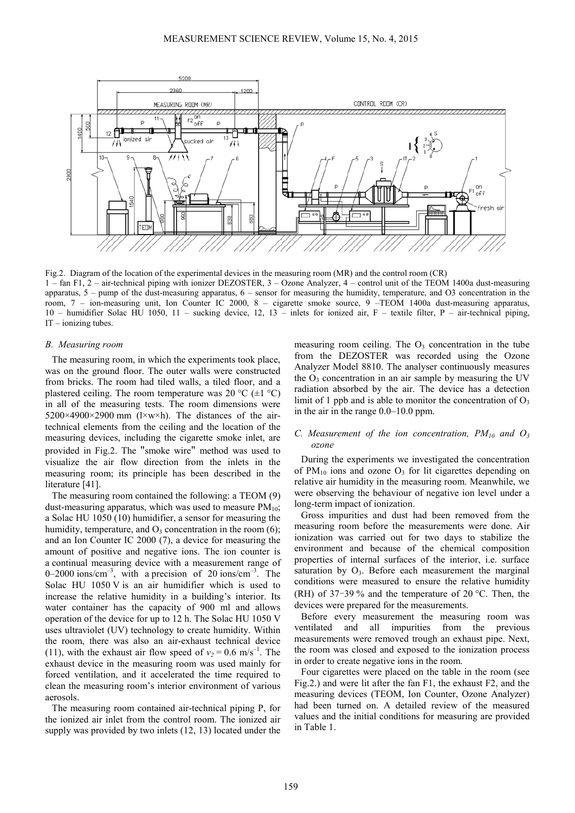

Fig.2. Diagram of the location of the experimental devices in the measuring room (MR) and the control room (CR) 1 – fan F1, 2 – air-technical piping with ionizer DEZOSTER, 3 – Ozone Analyzer, 4 – control unit of the TEOM 1400a dust-measuring apparatus, 5 – pump of the dust-measuring apparatus, 6 – sensor for measuring the humidity, temperature, and O3 concentration in the room, 7 – ion-measuring unit, Ion Counter IC 2000, 8 – cigarette smoke source, 9 –TEOM 1400a dust-measuring apparatus, 10 – humidifier Solac HU 1050, 11 – sucking device, 12, 13 – inlets for ionized air, F – textile filter, P – air-technical piping, IT – ionizing tubes.

### *B. Measuring room*

The measuring room, in which the experiments took place, was on the ground floor. The outer walls were constructed from bricks. The room had tiled walls, a tiled floor, and a plastered ceiling. The room temperature was 20 °C ( $\pm$ 1 °C) in all of the measuring tests. The room dimensions were  $5200\times4900\times2900$  mm (l $\times$ w $\times$ h). The distances of the airtechnical elements from the ceiling and the location of the measuring devices, including the cigarette smoke inlet, are provided in Fig.2. The "smoke wire" method was used to visualize the air flow direction from the inlets in the measuring room; its principle has been described in the literature [41].

The measuring room contained the following: a TEOM (9) dust-measuring apparatus, which was used to measure  $PM_{10}$ ; a Solac HU 1050 (10) humidifier, a sensor for measuring the humidity, temperature, and  $O_3$  concentration in the room  $(6)$ ; and an Ion Counter IC 2000 (7), a device for measuring the amount of positive and negative ions. The ion counter is a continual measuring device with a measurement range of 0–2000 ions/cm<sup>-3</sup>, with a precision of 20 ions/cm<sup>-3</sup>. The Solac HU 1050 V is an air humidifier which is used to increase the relative humidity in a building's interior. Its water container has the capacity of 900 ml and allows operation of the device for up to 12 h. The Solac HU 1050 V uses ultraviolet (UV) technology to create humidity. Within the room, there was also an air-exhaust technical device (11), with the exhaust air flow speed of  $v_2 = 0.6$  m/s<sup>-1</sup>. The exhaust device in the measuring room was used mainly for forced ventilation, and it accelerated the time required to clean the measuring room's interior environment of various aerosols.

The measuring room contained air-technical piping P, for the ionized air inlet from the control room. The ionized air supply was provided by two inlets (12, 13) located under the measuring room ceiling. The  $O<sub>3</sub>$  concentration in the tube from the DEZOSTER was recorded using the Ozone Analyzer Model 8810. The analyser continuously measures the  $O_3$  concentration in an air sample by measuring the UV radiation absorbed by the air. The device has a detection limit of 1 ppb and is able to monitor the concentration of  $O_3$ in the air in the range 0.0–10.0 ppm.

# *C. Measurement of the ion concentration, PM10 and O<sup>3</sup> ozone*

During the experiments we investigated the concentration of  $PM_{10}$  ions and ozone  $O_3$  for lit cigarettes depending on relative air humidity in the measuring room. Meanwhile, we were observing the behaviour of negative ion level under a long-term impact of ionization.

Gross impurities and dust had been removed from the measuring room before the measurements were done. Air ionization was carried out for two days to stabilize the environment and because of the chemical composition properties of internal surfaces of the interior, i.e. surface saturation by  $O_3$ . Before each measurement the marginal conditions were measured to ensure the relative humidity (RH) of 37–39 % and the temperature of 20 °C. Then, the devices were prepared for the measurements.

Before every measurement the measuring room was ventilated and all impurities from the previous measurements were removed trough an exhaust pipe. Next, the room was closed and exposed to the ionization process in order to create negative ions in the room.

Four cigarettes were placed on the table in the room (see Fig.2.) and were lit after the fan F1, the exhaust F2, and the measuring devices (TEOM, Ion Counter, Ozone Analyzer) had been turned on. A detailed review of the measured values and the initial conditions for measuring are provided in Table 1.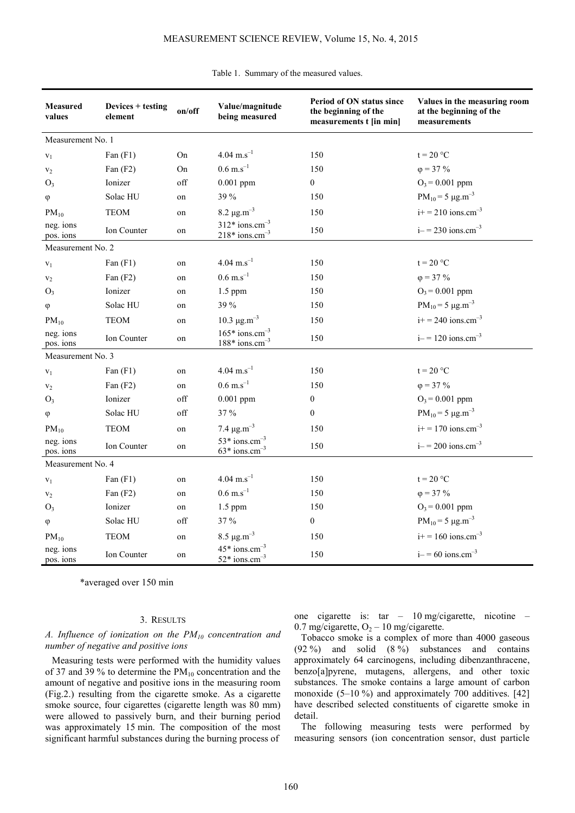| <b>Measured</b><br>values | Devices + testing<br>element | on/off | Value/magnitude<br>being measured                            | Period of ON status since<br>the beginning of the<br>measurements t [in min] | Values in the measuring room<br>at the beginning of the<br>measurements |  |  |  |
|---------------------------|------------------------------|--------|--------------------------------------------------------------|------------------------------------------------------------------------------|-------------------------------------------------------------------------|--|--|--|
| Measurement No. 1         |                              |        |                                                              |                                                                              |                                                                         |  |  |  |
| $V_1$                     | Fan $(F1)$                   | On     | $4.04$ m.s <sup>-1</sup>                                     | 150                                                                          | $t = 20 °C$                                                             |  |  |  |
| V <sub>2</sub>            | Fan $(F2)$                   | On     | $0.6 \text{ m.s}^{-1}$                                       | 150                                                                          | $\varphi = 37 \%$                                                       |  |  |  |
| $O_3$                     | Ionizer                      | off    | $0.001$ ppm                                                  | $\mathbf{0}$                                                                 | $O_3$ = 0.001 ppm                                                       |  |  |  |
| φ                         | Solac HU                     | on     | 39 %                                                         | 150                                                                          | $PM_{10} = 5 \mu g.m^{-3}$                                              |  |  |  |
| $PM_{10}$                 | <b>TEOM</b>                  | on     | $8.2 \mu g.m^{-3}$                                           | 150                                                                          | $i+ = 210$ ions.cm <sup>-3</sup>                                        |  |  |  |
| neg. ions<br>pos. ions    | Ion Counter                  | on     | $312*$ ions.cm <sup>-3</sup><br>$218*$ ions.cm <sup>-3</sup> | 150                                                                          | $i - 230$ ions.cm <sup>-3</sup>                                         |  |  |  |
| Measurement No. 2         |                              |        |                                                              |                                                                              |                                                                         |  |  |  |
| $V_1$                     | Fan $(F1)$                   | on     | $4.04$ m.s <sup>-1</sup>                                     | 150                                                                          | $t = 20 °C$                                                             |  |  |  |
| V <sub>2</sub>            | Fan $(F2)$                   | on     | $0.6 \text{ m.s}^{-1}$                                       | 150                                                                          | $\varphi = 37\%$                                                        |  |  |  |
| $O_3$                     | Ionizer                      | on     | 1.5 ppm                                                      | 150                                                                          | $O_3$ = 0.001 ppm                                                       |  |  |  |
| $\varphi$                 | Solac HU                     | on     | 39 %                                                         | 150                                                                          | $PM_{10} = 5 \mu g.m^{-3}$                                              |  |  |  |
| $PM_{10}$                 | <b>TEOM</b>                  | on     | 10.3 $\mu$ g.m <sup>-3</sup>                                 | 150                                                                          | $i+ = 240$ ions.cm <sup>-3</sup>                                        |  |  |  |
| neg. ions<br>pos. ions    | Ion Counter                  | on     | $165*$ ions.cm <sup>-3</sup><br>$188*$ ions.cm <sup>-3</sup> | 150                                                                          | $i = 120$ ions.cm <sup>-3</sup>                                         |  |  |  |
| Measurement No. 3         |                              |        |                                                              |                                                                              |                                                                         |  |  |  |
| $\mathbf{v}_1$            | Fan $(F1)$                   | on     | $4.04$ m.s <sup>-1</sup>                                     | 150                                                                          | $t = 20 °C$                                                             |  |  |  |
| V <sub>2</sub>            | Fan $(F2)$                   | on     | $0.6 \text{ m.s}^{-1}$                                       | 150                                                                          | $\varphi = 37 \%$                                                       |  |  |  |
| $O_3$                     | Ionizer                      | off    | $0.001$ ppm                                                  | $\boldsymbol{0}$                                                             | $O_3$ = 0.001 ppm                                                       |  |  |  |
| $\varphi$                 | Solac HU                     | off    | 37 %                                                         | $\boldsymbol{0}$                                                             | $PM_{10} = 5 \mu g.m^{-3}$                                              |  |  |  |
| $PM_{10}$                 | <b>TEOM</b>                  | on     | 7.4 $\mu$ g.m <sup>-3</sup>                                  | 150                                                                          | $i+ = 170$ ions.cm <sup>-3</sup>                                        |  |  |  |
| neg. ions<br>pos. ions    | Ion Counter                  | on     | $53*$ ions.cm <sup>-3</sup><br>$63*$ ions.cm <sup>-3</sup>   | 150                                                                          | $i = 200$ ions.cm <sup>-3</sup>                                         |  |  |  |
| Measurement No. 4         |                              |        |                                                              |                                                                              |                                                                         |  |  |  |
| $V_1$                     | Fan $(F1)$                   | on     | $4.04$ m.s <sup>-1</sup>                                     | 150                                                                          | $t = 20 °C$                                                             |  |  |  |
| $\mathbf{v}_2$            | Fan $(F2)$                   | on     | $0.6 \text{ m.s}^{-1}$                                       | 150                                                                          | $\varphi = 37\%$                                                        |  |  |  |
| $O_3$                     | Ionizer                      | on     | 1.5 ppm                                                      | 150                                                                          | $O_3$ = 0.001 ppm                                                       |  |  |  |
| $\varphi$                 | Solac HU                     | off    | $37\,\%$                                                     | $\mathbf{0}$                                                                 | $PM_{10} = 5 \mu g.m^{-3}$                                              |  |  |  |
| $PM_{10}$                 | <b>TEOM</b>                  | on     | $8.5 \mu g.m^{-3}$                                           | 150                                                                          | $i+ = 160$ ions.cm <sup>-3</sup>                                        |  |  |  |
| neg. ions<br>pos. ions    | Ion Counter                  | on     | $45*$ ions.cm <sup>-3</sup><br>$52*$ ions.cm <sup>-3</sup>   | 150                                                                          | $i = 60$ ions.cm <sup>-3</sup>                                          |  |  |  |

#### Table 1. Summary of the measured values.

\*averaged over 150 min

# 3. RESULTS

# *A. Influence of ionization on the PM10 concentration and number of negative and positive ions*

Measuring tests were performed with the humidity values of 37 and 39 % to determine the  $PM_{10}$  concentration and the amount of negative and positive ions in the measuring room (Fig.2.) resulting from the cigarette smoke. As a cigarette smoke source, four cigarettes (cigarette length was 80 mm) were allowed to passively burn, and their burning period was approximately 15 min. The composition of the most significant harmful substances during the burning process of one cigarette is: tar – 10 mg/cigarette, nicotine – 0.7 mg/cigarette,  $O_2 - 10$  mg/cigarette.

Tobacco smoke is a complex of more than 4000 gaseous  $(92\%)$  and solid  $(8\%)$  substances and contains approximately 64 carcinogens, including dibenzanthracene, benzo[a]pyrene, mutagens, allergens, and other toxic substances. The smoke contains a large amount of carbon monoxide  $(5-10\%)$  and approximately 700 additives. [42] have described selected constituents of cigarette smoke in detail.

The following measuring tests were performed by measuring sensors (ion concentration sensor, dust particle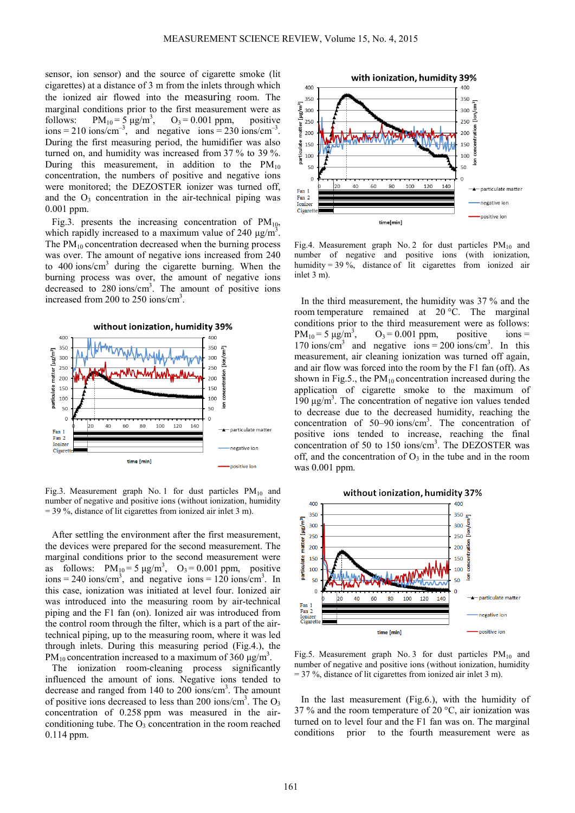sensor, ion sensor) and the source of cigarette smoke (lit cigarettes) at a distance of 3 m from the inlets through which the ionized air flowed into the measuring room. The marginal conditions prior to the first measurement were as follows:  $PM_{10} = 5 \mu g/m^3$ ,  $O_3 = 0.001$  ppm, positive  $ions = 210$  ions/cm<sup>-3</sup>, and negative ions = 230 ions/cm<sup>-3</sup>. During the first measuring period, the humidifier was also turned on, and humidity was increased from 37 % to 39 %. During this measurement, in addition to the  $PM_{10}$ concentration, the numbers of positive and negative ions were monitored; the DEZOSTER ionizer was turned off, and the  $O_3$  concentration in the air-technical piping was 0.001 ppm.

Fig.3. presents the increasing concentration of  $PM_{10}$ , which rapidly increased to a maximum value of 240  $\mu$ g/m<sup>3</sup>. The  $PM_{10}$  concentration decreased when the burning process was over. The amount of negative ions increased from 240 to 400 ions/cm<sup>3</sup> during the cigarette burning. When the burning process was over, the amount of negative ions decreased to 280 ions/cm<sup>3</sup>. The amount of positive ions increased from 200 to 250 ions/cm<sup>3</sup>.



Fig.3. Measurement graph No. 1 for dust particles  $PM_{10}$  and number of negative and positive ions (without ionization, humidity = 39 %, distance of lit cigarettes from ionized air inlet 3 m).

After settling the environment after the first measurement, the devices were prepared for the second measurement. The marginal conditions prior to the second measurement were as follows:  $PM_{10} = 5 \mu g/m^3$ ,  $O_3 = 0.001$  ppm, positive  $\cos = 240$  ions/cm<sup>3</sup>, and negative ions = 120 ions/cm<sup>3</sup>. In this case, ionization was initiated at level four. Ionized air was introduced into the measuring room by air-technical piping and the F1 fan (on). Ionized air was introduced from the control room through the filter, which is a part of the airtechnical piping, up to the measuring room, where it was led through inlets. During this measuring period (Fig.4.), the PM<sub>10</sub> concentration increased to a maximum of 360  $\mu$ g/m<sup>3</sup>.

The ionization room-cleaning process significantly influenced the amount of ions. Negative ions tended to decrease and ranged from 140 to 200 ions/cm<sup>3</sup>. The amount of positive ions decreased to less than 200 ions/cm<sup>3</sup>. The  $O_3$ concentration of 0.258 ppm was measured in the airconditioning tube. The  $O_3$  concentration in the room reached 0.114 ppm.



Fig.4. Measurement graph No. 2 for dust particles  $PM_{10}$  and number of negative and positive ions (with ionization, humidity = 39 %, distance of lit cigarettes from ionized air inlet 3 m).

In the third measurement, the humidity was 37 % and the room temperature remained at 20 °C. The marginal conditions prior to the third measurement were as follows:<br> $PM_{10} = 5 \mu g/m^3$ ,  $O_3 = 0.001 \text{ ppm}$ , positive ions =  $PM_{10} = 5 \mu g/m^3$ ,  $O_3 = 0.001$  ppm, positive ions = 170 ions/cm<sup>3</sup> and negative ions = 200 ions/cm<sup>3</sup>. In this measurement, air cleaning ionization was turned off again, and air flow was forced into the room by the F1 fan (off). As shown in Fig.5., the  $PM_{10}$  concentration increased during the application of cigarette smoke to the maximum of 190 μg/m<sup>3</sup>. The concentration of negative ion values tended to decrease due to the decreased humidity, reaching the concentration of 50–90 ions/cm<sup>3</sup> . The concentration of positive ions tended to increase, reaching the final concentration of 50 to 150 ions/cm<sup>3</sup>. The DEZOSTER was off, and the concentration of  $O_3$  in the tube and in the room was 0.001 ppm.



Fig.5. Measurement graph No. 3 for dust particles  $PM_{10}$  and number of negative and positive ions (without ionization, humidity  $=$  37 %, distance of lit cigarettes from ionized air inlet 3 m).

In the last measurement (Fig.6.), with the humidity of 37 % and the room temperature of 20  $^{\circ}$ C, air ionization was turned on to level four and the F1 fan was on. The marginal conditions prior to the fourth measurement were as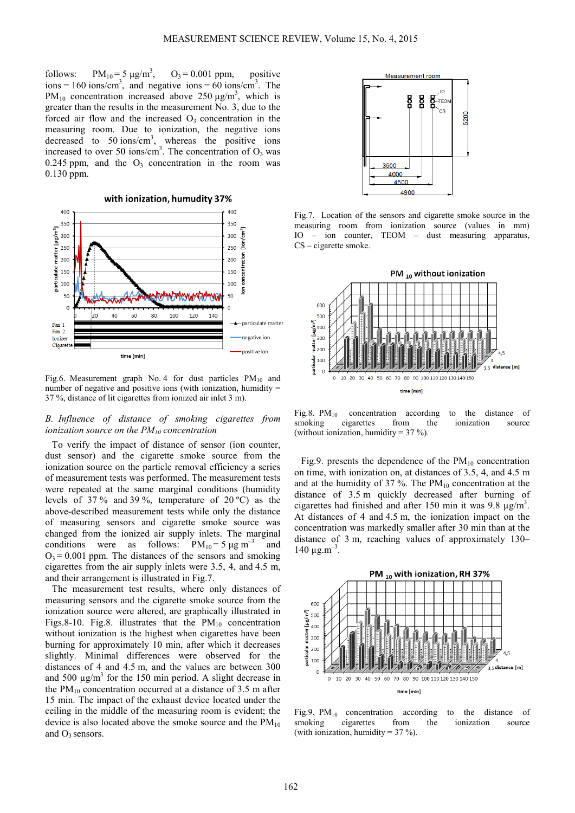follows:  $PM_{10} = 5 \text{ µg/m}^3$ ,  $O_3 = 0.001$  ppm, positive  $\mu$ ions = 160 ions/cm<sup>3</sup>, and negative ions = 60 ions/cm<sup>3</sup>. The PM<sub>10</sub> concentration increased above 250  $\mu$ g/m<sup>3</sup>, which is greater than the results in the measurement No. 3, due to the forced air flow and the increased  $O_3$  concentration in the measuring room. Due to ionization, the negative ions decreased to  $50 \text{ ions/cm}^3$ , whereas the positive ions increased to over 50 ions/cm<sup>3</sup>. The concentration of  $O_3$  was 0.245 ppm, and the  $O_3$  concentration in the room was 0.130 ppm.

with ionization, humudity 37%



Fig.6. Measurement graph No. 4 for dust particles  $PM_{10}$  and number of negative and positive ions (with ionization, humidity  $=$ 37 %, distance of lit cigarettes from ionized air inlet 3 m).

# *B. Influence of distance of smoking cigarettes from ionization source on the PM10 concentration*

To verify the impact of distance of sensor (ion counter, dust sensor) and the cigarette smoke source from the ionization source on the particle removal efficiency a series of measurement tests was performed. The measurement tests were repeated at the same marginal conditions (humidity levels of 37 % and 39 %, temperature of 20 ºC) as the above-described measurement tests while only the distance of measuring sensors and cigarette smoke source was changed from the ionized air supply inlets. The marginal conditions were as follows:  $PM_{10} = 5 \mu g m^{-3}$  and  $Q_3 = 0.001$  ppm. The distances of the sensors and smoking cigarettes from the air supply inlets were 3.5, 4, and 4.5 m, and their arrangement is illustrated in Fig.7.

The measurement test results, where only distances of measuring sensors and the cigarette smoke source from the ionization source were altered, are graphically illustrated in Figs.8-10. Fig.8. illustrates that the  $PM_{10}$  concentration without ionization is the highest when cigarettes have been burning for approximately 10 min, after which it decreases slightly. Minimal differences were observed for the distances of 4 and 4.5 m, and the values are between 300 and 500  $\mu$ g/m<sup>3</sup> for the 150 min period. A slight decrease in the  $PM_{10}$  concentration occurred at a distance of 3.5 m after 15 min. The impact of the exhaust device located under the ceiling in the middle of the measuring room is evident; the device is also located above the smoke source and the  $PM_{10}$ and  $O_3$  sensors.



Fig.7. Location of the sensors and cigarette smoke source in the measuring room from ionization source (values in mm) IO – ion counter, TEOM – dust measuring apparatus, CS – cigarette smoke.



Fig.8.  $PM_{10}$  concentration according to the distance of smoking cigarettes from the ionization source ionization (without ionization, humidity =  $37\%$ ).

Fig.9. presents the dependence of the  $PM_{10}$  concentration on time, with ionization on, at distances of 3.5, 4, and 4.5 m and at the humidity of 37 %. The  $PM_{10}$  concentration at the distance of 3.5 m quickly decreased after burning of cigarettes had finished and after 150 min it was 9.8  $\mu$ g/m<sup>3</sup>. At distances of 4 and 4.5 m, the ionization impact on the concentration was markedly smaller after 30 min than at the distance of 3 m, reaching values of approximately 130–  $140 \mu g.m^{-3}$ .



Fig.9.  $PM_{10}$  concentration according to the distance of smoking cigarettes from the ionization source ionization (with ionization, humidity =  $37\%$ )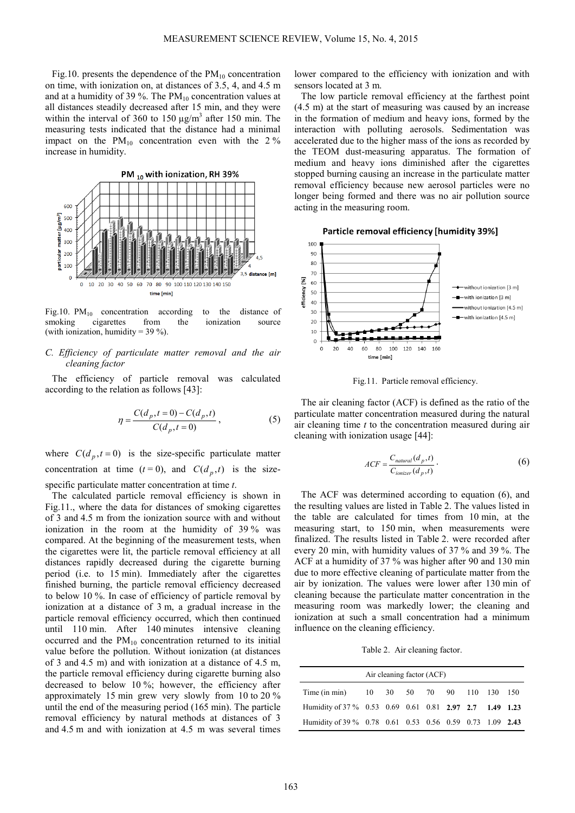Fig.10. presents the dependence of the  $PM_{10}$  concentration on time, with ionization on, at distances of 3.5, 4, and 4.5 m and at a humidity of 39 %. The  $PM_{10}$  concentration values at all distances steadily decreased after 15 min, and they were within the interval of 360 to 150  $\mu$ g/m<sup>3</sup> after 150 min. The measuring tests indicated that the distance had a minimal impact on the  $PM_{10}$  concentration even with the 2 % increase in humidity.



Fig.10.  $PM_{10}$  concentration according to the distance of smoking cigarettes from the ionization source cigarettes (with ionization, humidity =  $39\%$ ).

# *C. Efficiency of particulate matter removal and the air cleaning factor*

The efficiency of particle removal was calculated according to the relation as follows [43]:

$$
\eta = \frac{C(d_p, t=0) - C(d_p, t)}{C(d_p, t=0)},
$$
\n(5)

where  $C(d_p, t=0)$  is the size-specific particulate matter concentration at time  $(t=0)$ , and  $C(d_p, t)$  is the sizespecific particulate matter concentration at time *t*.

The calculated particle removal efficiency is shown in Fig.11., where the data for distances of smoking cigarettes of 3 and 4.5 m from the ionization source with and without ionization in the room at the humidity of 39 % was compared. At the beginning of the measurement tests, when the cigarettes were lit, the particle removal efficiency at all distances rapidly decreased during the cigarette burning period (i.e. to 15 min). Immediately after the cigarettes finished burning, the particle removal efficiency decreased to below 10 %. In case of efficiency of particle removal by ionization at a distance of 3 m, a gradual increase in the particle removal efficiency occurred, which then continued until 110 min. After 140 minutes intensive cleaning occurred and the  $PM_{10}$  concentration returned to its initial value before the pollution. Without ionization (at distances of 3 and 4.5 m) and with ionization at a distance of 4.5 m, the particle removal efficiency during cigarette burning also decreased to below 10 %; however, the efficiency after approximately 15 min grew very slowly from 10 to 20 % until the end of the measuring period (165 min). The particle removal efficiency by natural methods at distances of 3 and 4.5 m and with ionization at 4.5 m was several times lower compared to the efficiency with ionization and with sensors located at 3 m.

The low particle removal efficiency at the farthest point (4.5 m) at the start of measuring was caused by an increase in the formation of medium and heavy ions, formed by the interaction with polluting aerosols. Sedimentation was accelerated due to the higher mass of the ions as recorded by the TEOM dust-measuring apparatus. The formation of medium and heavy ions diminished after the cigarettes stopped burning causing an increase in the particulate matter removal efficiency because new aerosol particles were no longer being formed and there was no air pollution source acting in the measuring room.





Fig.11. Particle removal efficiency.

The air cleaning factor (ACF) is defined as the ratio of the particulate matter concentration measured during the natural air cleaning time *t* to the concentration measured during air cleaning with ionization usage [44]:

$$
ACF = \frac{C_{natural}(d_p, t)}{C_{ionizer}(d_p, t)}.
$$
 (6)

The ACF was determined according to equation (6), and the resulting values are listed in Table 2. The values listed in the table are calculated for times from 10 min, at the measuring start, to 150 min, when measurements were finalized. The results listed in Table 2. were recorded after every 20 min, with humidity values of 37 % and 39 %. The ACF at a humidity of 37 % was higher after 90 and 130 min due to more effective cleaning of particulate matter from the air by ionization. The values were lower after 130 min of cleaning because the particulate matter concentration in the measuring room was markedly lower; the cleaning and ionization at such a small concentration had a minimum influence on the cleaning efficiency.

Table 2. Air cleaning factor.

| Air cleaning factor (ACF)                                |  |  |  |  |  |  |  |  |
|----------------------------------------------------------|--|--|--|--|--|--|--|--|
| Time (in min) 10 30 50 70 90 110 130 150                 |  |  |  |  |  |  |  |  |
| Humidity of 37 % 0.53 0.69 0.61 0.81 2.97 2.7 1.49 1.23  |  |  |  |  |  |  |  |  |
| Humidity of 39 % 0.78 0.61 0.53 0.56 0.59 0.73 1.09 2.43 |  |  |  |  |  |  |  |  |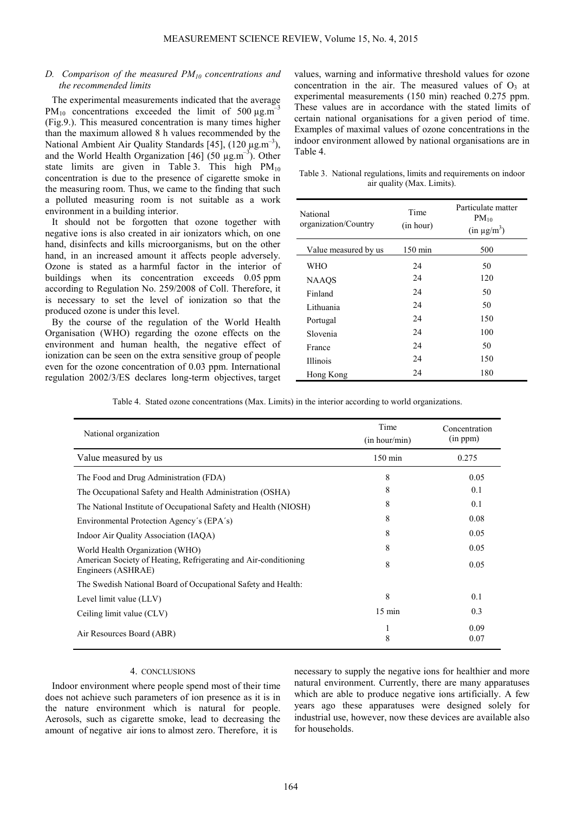# *D. Comparison of the measured PM10 concentrations and the recommended limits*

The experimental measurements indicated that the average PM<sub>10</sub> concentrations exceeded the limit of 500  $\mu$ g.m<sup>-3</sup> (Fig.9.). This measured concentration is many times higher than the maximum allowed 8 h values recommended by the National Ambient Air Quality Standards [45],  $(120 \mu g.m^{-3})$ , and the World Health Organization [46] (50  $\mu$ g.m<sup>-3</sup>). Other state limits are given in Table 3. This high  $PM_{10}$ concentration is due to the presence of cigarette smoke in the measuring room. Thus, we came to the finding that such a polluted measuring room is not suitable as a work environment in a building interior.

It should not be forgotten that ozone together with negative ions is also created in air ionizators which, on one hand, disinfects and kills microorganisms, but on the other hand, in an increased amount it affects people adversely. Ozone is stated as a harmful factor in the interior of buildings when its concentration exceeds 0.05 ppm according to Regulation No. 259/2008 of Coll. Therefore, it is necessary to set the level of ionization so that the produced ozone is under this level.

By the course of the regulation of the World Health Organisation (WHO) regarding the ozone effects on the environment and human health, the negative effect of ionization can be seen on the extra sensitive group of people even for the ozone concentration of 0.03 ppm. International regulation 2002/3/ES declares long-term objectives, target

values, warning and informative threshold values for ozone concentration in the air. The measured values of  $O<sub>3</sub>$  at experimental measurements (150 min) reached 0.275 ppm. These values are in accordance with the stated limits of certain national organisations for a given period of time. Examples of maximal values of ozone concentrations in the indoor environment allowed by national organisations are in Table 4.

Table 3. National regulations, limits and requirements on indoor air quality (Max. Limits).

| National<br>organization/Country | Time<br>(in hour) | Particulate matter<br>$PM_{10}$<br>$(in \mu g/m^3)$ |
|----------------------------------|-------------------|-----------------------------------------------------|
| Value measured by us             | $150 \text{ min}$ | 500                                                 |
| WHO                              | 24                | 50                                                  |
| <b>NAAQS</b>                     | 24                | 120                                                 |
| Finland                          | 24                | 50                                                  |
| Lithuania                        | 24                | 50                                                  |
| Portugal                         | 24                | 150                                                 |
| Slovenia                         | 24                | 100                                                 |
| France                           | 24                | 50                                                  |
| Illinois                         | 24                | 150                                                 |
| Hong Kong                        | 24                | 180                                                 |

Table 4. Stated ozone concentrations (Max. Limits) in the interior according to world organizations.

| National organization                                                                 | Time<br>(in hour/min) | Concentration<br>(in ppm) |
|---------------------------------------------------------------------------------------|-----------------------|---------------------------|
| Value measured by us                                                                  | $150 \text{ min}$     | 0.275                     |
| The Food and Drug Administration (FDA)                                                | 8                     | 0.05                      |
| The Occupational Safety and Health Administration (OSHA)                              | 8                     | 0.1                       |
| The National Institute of Occupational Safety and Health (NIOSH)                      | 8                     | 0.1                       |
| Environmental Protection Agency's (EPA's)                                             | 8                     | 0.08                      |
| Indoor Air Quality Association (IAQA)                                                 | 8                     | 0.05                      |
| World Health Organization (WHO)                                                       | 8                     | 0.05                      |
| American Society of Heating, Refrigerating and Air-conditioning<br>Engineers (ASHRAE) | 8                     | 0.05                      |
| The Swedish National Board of Occupational Safety and Health:                         |                       |                           |
| Level limit value (LLV)                                                               | 8                     | 0.1                       |
| Ceiling limit value (CLV)                                                             | $15 \text{ min}$      | 0.3                       |
| Air Resources Board (ABR)                                                             | 1<br>8                | 0.09<br>0.07              |

#### 4. CONCLUSIONS

Indoor environment where people spend most of their time does not achieve such parameters of ion presence as it is in the nature environment which is natural for people. Aerosols, such as cigarette smoke, lead to decreasing the amount of negative air ions to almost zero. Therefore, it is

necessary to supply the negative ions for healthier and more natural environment. Currently, there are many apparatuses which are able to produce negative ions artificially. A few years ago these apparatuses were designed solely for industrial use, however, now these devices are available also for households.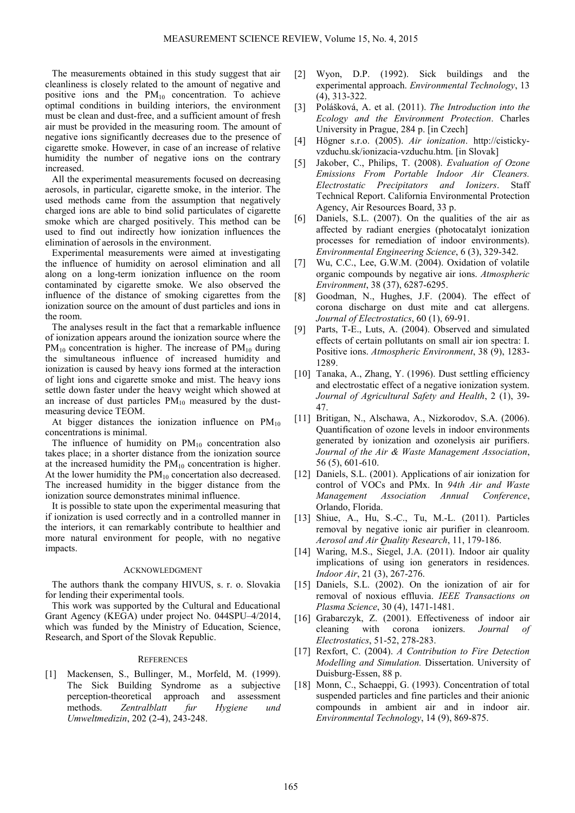The measurements obtained in this study suggest that air cleanliness is closely related to the amount of negative and positive ions and the  $PM_{10}$  concentration. To achieve optimal conditions in building interiors, the environment must be clean and dust-free, and a sufficient amount of fresh air must be provided in the measuring room. The amount of negative ions significantly decreases due to the presence of cigarette smoke. However, in case of an increase of relative humidity the number of negative ions on the contrary increased.

All the experimental measurements focused on decreasing aerosols, in particular, cigarette smoke, in the interior. The used methods came from the assumption that negatively charged ions are able to bind solid particulates of cigarette smoke which are charged positively. This method can be used to find out indirectly how ionization influences the elimination of aerosols in the environment.

Experimental measurements were aimed at investigating the influence of humidity on aerosol elimination and all along on a long-term ionization influence on the room contaminated by cigarette smoke. We also observed the influence of the distance of smoking cigarettes from the ionization source on the amount of dust particles and ions in the room.

The analyses result in the fact that a remarkable influence of ionization appears around the ionization source where the  $PM_{10}$  concentration is higher. The increase of  $PM_{10}$  during the simultaneous influence of increased humidity and ionization is caused by heavy ions formed at the interaction of light ions and cigarette smoke and mist. The heavy ions settle down faster under the heavy weight which showed at an increase of dust particles  $PM_{10}$  measured by the dustmeasuring device TEOM.

At bigger distances the ionization influence on  $PM_{10}$ concentrations is minimal.

The influence of humidity on  $PM_{10}$  concentration also takes place; in a shorter distance from the ionization source at the increased humidity the  $PM_{10}$  concentration is higher. At the lower humidity the  $PM_{10}$  concertation also decreased. The increased humidity in the bigger distance from the ionization source demonstrates minimal influence.

It is possible to state upon the experimental measuring that if ionization is used correctly and in a controlled manner in the interiors, it can remarkably contribute to healthier and more natural environment for people, with no negative impacts.

#### ACKNOWLEDGMENT

The authors thank the company HIVUS, s. r. o. Slovakia for lending their experimental tools.

This work was supported by the Cultural and Educational Grant Agency (KEGA) under project No. 044SPU–4/2014, which was funded by the Ministry of Education, Science, Research, and Sport of the Slovak Republic.

# **REFERENCES**

[1] Mackensen, S., Bullinger, M., Morfeld, M. (1999). The Sick Building Syndrome as a subjective perception-theoretical approach and assessment methods. *Zentralblatt fur Hygiene und Umweltmedizin*, 202 (2-4), 243-248.

- [2] Wyon, D.P. (1992). Sick buildings and the experimental approach. *Environmental Technology*, 13 (4), 313-322.
- [3] Polášková, A. et al. (2011). *The Introduction into the Ecology and the Environment Protection*. Charles University in Prague, 284 p. [in Czech]
- [4] Högner s.r.o. (2005). *Air ionization*. http://cistickyvzduchu.sk/ionizacia-vzduchu.htm. [in Slovak]
- [5] Jakober, C., Philips, T. (2008). *Evaluation of Ozone Emissions From Portable Indoor Air Cleaners. Electrostatic Precipitators and Ionizers*. Staff Technical Report. California Environmental Protection Agency, Air Resources Board, 33 p.
- [6] Daniels, S.L. (2007). On the qualities of the air as affected by radiant energies (photocatalyt ionization processes for remediation of indoor environments). *Environmental Engineering Science*, 6 (3), 329-342.
- [7] Wu, C.C., Lee, G.W.M. (2004). Oxidation of volatile organic compounds by negative air ions. *Atmospheric Environment*, 38 (37), 6287-6295.
- [8] Goodman, N., Hughes, J.F. (2004). The effect of corona discharge on dust mite and cat allergens. *Journal of Electrostatics*, 60 (1), 69-91.
- [9] Parts, T-E., Luts, A. (2004). Observed and simulated effects of certain pollutants on small air ion spectra: I. Positive ions. *Atmospheric Environment*, 38 (9), 1283- 1289.
- [10] Tanaka, A., Zhang, Y. (1996). Dust settling efficiency and electrostatic effect of a negative ionization system. *Journal of Agricultural Safety and Health*, 2 (1), 39- 47.
- [11] Britigan, N., Alschawa, A., Nizkorodov, S.A. (2006). Quantification of ozone levels in indoor environments generated by ionization and ozonelysis air purifiers. *Journal of the Air & Waste Management Association*, 56 (5), 601-610.
- [12] Daniels, S.L. (2001). Applications of air ionization for control of VOCs and PMx. In *94th Air and Waste Management Association Annual Conference*, Orlando, Florida.
- [13] Shiue, A., Hu, S.-C., Tu, M.-L. (2011). Particles removal by negative ionic air purifier in cleanroom. *Aerosol and Air Quality Research*, 11, 179-186.
- [14] Waring, M.S., Siegel, J.A. (2011). Indoor air quality implications of using ion generators in residences. *Indoor Air*, 21 (3), 267-276.
- [15] Daniels, S.L. (2002). On the ionization of air for removal of noxious effluvia. *IEEE Transactions on Plasma Science*, 30 (4), 1471-1481.
- [16] Grabarczyk, Z. (2001). Effectiveness of indoor air cleaning with corona ionizers. *Journal of Electrostatics*, 51-52, 278-283.
- [17] Rexfort, C. (2004). *A Contribution to Fire Detection Modelling and Simulation.* Dissertation. University of Duisburg-Essen, 88 p.
- [18] Monn, C., Schaeppi, G. (1993). Concentration of total suspended particles and fine particles and their anionic compounds in ambient air and in indoor air. *Environmental Technology*, 14 (9), 869-875.